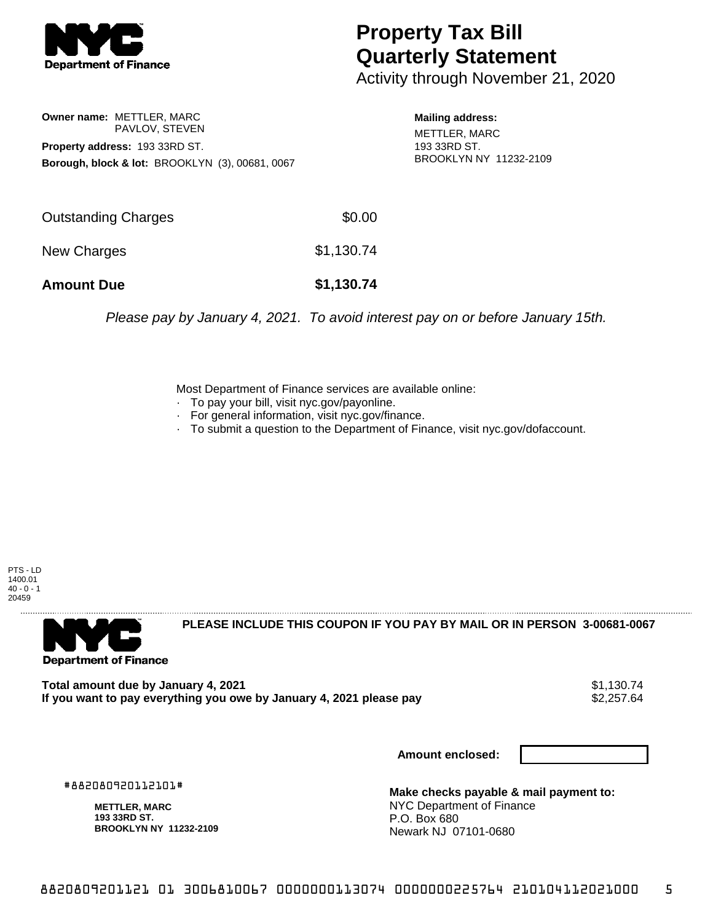

## **Property Tax Bill Quarterly Statement**

Activity through November 21, 2020

**Owner name:** METTLER, MARC PAVLOV, STEVEN **Property address:** 193 33RD ST. **Borough, block & lot:** BROOKLYN (3), 00681, 0067

**Mailing address:** METTLER, MARC 193 33RD ST. BROOKLYN NY 11232-2109

| <b>Amount Due</b>   | \$1,130.74 |
|---------------------|------------|
| New Charges         | \$1,130.74 |
| Outstanding Charges | \$0.00     |

Please pay by January 4, 2021. To avoid interest pay on or before January 15th.

Most Department of Finance services are available online:

- · To pay your bill, visit nyc.gov/payonline.
- For general information, visit nyc.gov/finance.
- · To submit a question to the Department of Finance, visit nyc.gov/dofaccount.

PTS - LD 1400.01  $40 - 0 - 1$ 20459



**PLEASE INCLUDE THIS COUPON IF YOU PAY BY MAIL OR IN PERSON 3-00681-0067** 

**Total amount due by January 4, 2021**<br>If you want to pay everything you owe by January 4, 2021 please pay **show that the set of the set of the set of** If you want to pay everything you owe by January 4, 2021 please pay

**Amount enclosed:**

#882080920112101#

**METTLER, MARC 193 33RD ST. BROOKLYN NY 11232-2109**

**Make checks payable & mail payment to:** NYC Department of Finance P.O. Box 680 Newark NJ 07101-0680